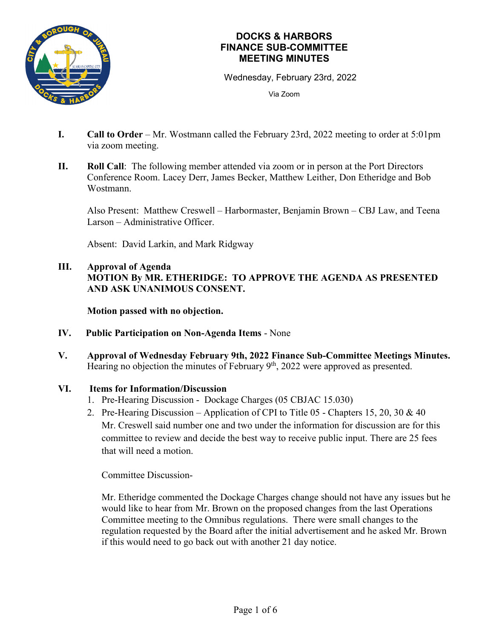

Wednesday, February 23rd, 2022

Via Zoom

- **I. Call to Order** Mr. Wostmann called the February 23rd, 2022 meeting to order at 5:01pm via zoom meeting.
- **II. Roll Call**: The following member attended via zoom or in person at the Port Directors Conference Room. Lacey Derr, James Becker, Matthew Leither, Don Etheridge and Bob Wostmann.

Also Present: Matthew Creswell – Harbormaster, Benjamin Brown – CBJ Law, and Teena Larson – Administrative Officer.

Absent: David Larkin, and Mark Ridgway

## **III. Approval of Agenda MOTION By MR. ETHERIDGE: TO APPROVE THE AGENDA AS PRESENTED AND ASK UNANIMOUS CONSENT.**

**Motion passed with no objection.**

- **IV. Public Participation on Non-Agenda Items** None
- **V. Approval of Wednesday February 9th, 2022 Finance Sub-Committee Meetings Minutes.** Hearing no objection the minutes of February 9<sup>th</sup>, 2022 were approved as presented.

#### **VI. Items for Information/Discussion**

- 1. Pre-Hearing Discussion Dockage Charges (05 CBJAC 15.030)
- 2. Pre-Hearing Discussion Application of CPI to Title 05 Chapters 15, 20, 30 & 40 Mr. Creswell said number one and two under the information for discussion are for this committee to review and decide the best way to receive public input. There are 25 fees that will need a motion.

Committee Discussion-

Mr. Etheridge commented the Dockage Charges change should not have any issues but he would like to hear from Mr. Brown on the proposed changes from the last Operations Committee meeting to the Omnibus regulations. There were small changes to the regulation requested by the Board after the initial advertisement and he asked Mr. Brown if this would need to go back out with another 21 day notice.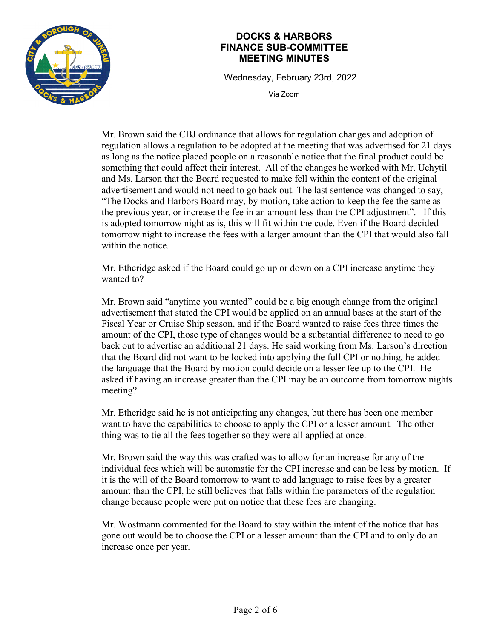

Wednesday, February 23rd, 2022

Via Zoom

Mr. Brown said the CBJ ordinance that allows for regulation changes and adoption of regulation allows a regulation to be adopted at the meeting that was advertised for 21 days as long as the notice placed people on a reasonable notice that the final product could be something that could affect their interest. All of the changes he worked with Mr. Uchytil and Ms. Larson that the Board requested to make fell within the content of the original advertisement and would not need to go back out. The last sentence was changed to say, "The Docks and Harbors Board may, by motion, take action to keep the fee the same as the previous year, or increase the fee in an amount less than the CPI adjustment". If this is adopted tomorrow night as is, this will fit within the code. Even if the Board decided tomorrow night to increase the fees with a larger amount than the CPI that would also fall within the notice.

Mr. Etheridge asked if the Board could go up or down on a CPI increase anytime they wanted to?

Mr. Brown said "anytime you wanted" could be a big enough change from the original advertisement that stated the CPI would be applied on an annual bases at the start of the Fiscal Year or Cruise Ship season, and if the Board wanted to raise fees three times the amount of the CPI, those type of changes would be a substantial difference to need to go back out to advertise an additional 21 days. He said working from Ms. Larson's direction that the Board did not want to be locked into applying the full CPI or nothing, he added the language that the Board by motion could decide on a lesser fee up to the CPI. He asked if having an increase greater than the CPI may be an outcome from tomorrow nights meeting?

Mr. Etheridge said he is not anticipating any changes, but there has been one member want to have the capabilities to choose to apply the CPI or a lesser amount. The other thing was to tie all the fees together so they were all applied at once.

Mr. Brown said the way this was crafted was to allow for an increase for any of the individual fees which will be automatic for the CPI increase and can be less by motion. If it is the will of the Board tomorrow to want to add language to raise fees by a greater amount than the CPI, he still believes that falls within the parameters of the regulation change because people were put on notice that these fees are changing.

Mr. Wostmann commented for the Board to stay within the intent of the notice that has gone out would be to choose the CPI or a lesser amount than the CPI and to only do an increase once per year.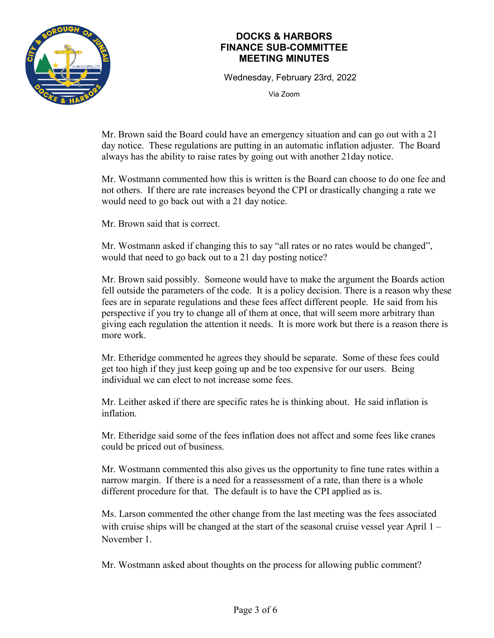

Wednesday, February 23rd, 2022

Via Zoom

Mr. Brown said the Board could have an emergency situation and can go out with a 21 day notice. These regulations are putting in an automatic inflation adjuster. The Board always has the ability to raise rates by going out with another 21day notice.

Mr. Wostmann commented how this is written is the Board can choose to do one fee and not others. If there are rate increases beyond the CPI or drastically changing a rate we would need to go back out with a 21 day notice.

Mr. Brown said that is correct.

Mr. Wostmann asked if changing this to say "all rates or no rates would be changed", would that need to go back out to a 21 day posting notice?

Mr. Brown said possibly. Someone would have to make the argument the Boards action fell outside the parameters of the code. It is a policy decision. There is a reason why these fees are in separate regulations and these fees affect different people. He said from his perspective if you try to change all of them at once, that will seem more arbitrary than giving each regulation the attention it needs. It is more work but there is a reason there is more work.

Mr. Etheridge commented he agrees they should be separate. Some of these fees could get too high if they just keep going up and be too expensive for our users. Being individual we can elect to not increase some fees.

Mr. Leither asked if there are specific rates he is thinking about. He said inflation is inflation.

Mr. Etheridge said some of the fees inflation does not affect and some fees like cranes could be priced out of business.

Mr. Wostmann commented this also gives us the opportunity to fine tune rates within a narrow margin. If there is a need for a reassessment of a rate, than there is a whole different procedure for that. The default is to have the CPI applied as is.

Ms. Larson commented the other change from the last meeting was the fees associated with cruise ships will be changed at the start of the seasonal cruise vessel year April 1 – November 1.

Mr. Wostmann asked about thoughts on the process for allowing public comment?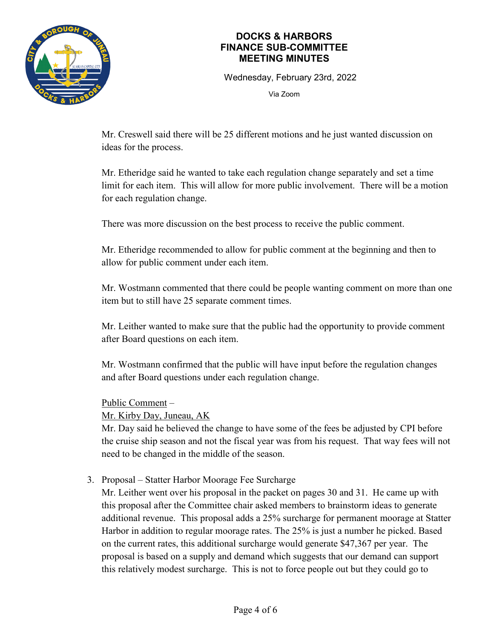

Wednesday, February 23rd, 2022

Via Zoom

Mr. Creswell said there will be 25 different motions and he just wanted discussion on ideas for the process.

Mr. Etheridge said he wanted to take each regulation change separately and set a time limit for each item. This will allow for more public involvement. There will be a motion for each regulation change.

There was more discussion on the best process to receive the public comment.

Mr. Etheridge recommended to allow for public comment at the beginning and then to allow for public comment under each item.

Mr. Wostmann commented that there could be people wanting comment on more than one item but to still have 25 separate comment times.

Mr. Leither wanted to make sure that the public had the opportunity to provide comment after Board questions on each item.

Mr. Wostmann confirmed that the public will have input before the regulation changes and after Board questions under each regulation change.

#### Public Comment –

Mr. Kirby Day, Juneau, AK

Mr. Day said he believed the change to have some of the fees be adjusted by CPI before the cruise ship season and not the fiscal year was from his request. That way fees will not need to be changed in the middle of the season.

3. Proposal – Statter Harbor Moorage Fee Surcharge

Mr. Leither went over his proposal in the packet on pages 30 and 31. He came up with this proposal after the Committee chair asked members to brainstorm ideas to generate additional revenue. This proposal adds a 25% surcharge for permanent moorage at Statter Harbor in addition to regular moorage rates. The 25% is just a number he picked. Based on the current rates, this additional surcharge would generate \$47,367 per year. The proposal is based on a supply and demand which suggests that our demand can support this relatively modest surcharge. This is not to force people out but they could go to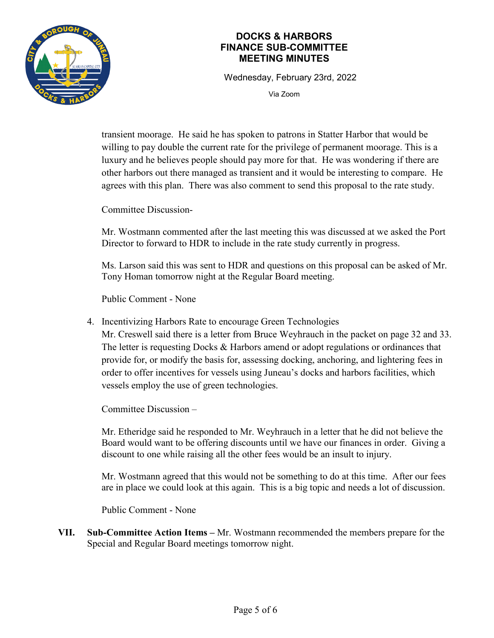

Wednesday, February 23rd, 2022

Via Zoom

transient moorage. He said he has spoken to patrons in Statter Harbor that would be willing to pay double the current rate for the privilege of permanent moorage. This is a luxury and he believes people should pay more for that. He was wondering if there are other harbors out there managed as transient and it would be interesting to compare. He agrees with this plan. There was also comment to send this proposal to the rate study.

Committee Discussion-

Mr. Wostmann commented after the last meeting this was discussed at we asked the Port Director to forward to HDR to include in the rate study currently in progress.

Ms. Larson said this was sent to HDR and questions on this proposal can be asked of Mr. Tony Homan tomorrow night at the Regular Board meeting.

Public Comment - None

4. Incentivizing Harbors Rate to encourage Green Technologies

Mr. Creswell said there is a letter from Bruce Weyhrauch in the packet on page 32 and 33. The letter is requesting Docks & Harbors amend or adopt regulations or ordinances that provide for, or modify the basis for, assessing docking, anchoring, and lightering fees in order to offer incentives for vessels using Juneau's docks and harbors facilities, which vessels employ the use of green technologies.

Committee Discussion –

Mr. Etheridge said he responded to Mr. Weyhrauch in a letter that he did not believe the Board would want to be offering discounts until we have our finances in order. Giving a discount to one while raising all the other fees would be an insult to injury.

Mr. Wostmann agreed that this would not be something to do at this time. After our fees are in place we could look at this again. This is a big topic and needs a lot of discussion.

Public Comment - None

**VII. Sub-Committee Action Items –** Mr. Wostmann recommended the members prepare for the Special and Regular Board meetings tomorrow night.